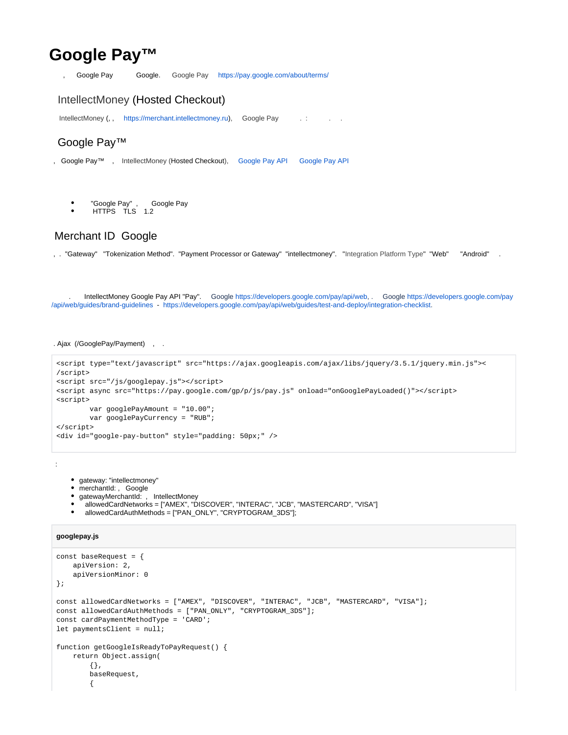# **Google Pay™**

, Google Pay Google. Google Pay <https://pay.google.com/about/terms/>

### <span id="page-0-0"></span>IntellectMoney (Hosted Checkout)

IntellectMoney(, , [https://merchant.intellectmoney.ru](https://merchant.intellectmoney.ru/ru/)), Google Pay [.](https://wiki.intellectmoney.ru/pages/viewpage.action?pageId=2097888) : . . . .

## <span id="page-0-1"></span>Google Pay™

- , Google Pay™ , IntellectMoney (Hosted Checkout), [Google Pay API](https://payments.developers.google.com/terms/aup) [Google Pay API](https://payments.developers.google.com/terms/sellertos)
	- $\bullet$ "Google Pay" , Google Pay
	- HTTPS TLS 1.2

## <span id="page-0-2"></span>Merchant ID Google

, . "Gateway" "Tokenization Method". "Payment Processor or Gateway" "intellectmoney". "Integration Platform Type" "Web" "Android" .

<span id="page-0-3"></span> . IntellectMoney Google Pay API "Pay". Google [https://developers.google.com/pay/api/web](https://developers.google.com/pay/api/web/), . Google [https://developers.google.com/pay](https://developers.google.com/pay/api/web/guides/brand-guidelines) [/api/web/guides/brand-guidelines](https://developers.google.com/pay/api/web/guides/brand-guidelines) - <https://developers.google.com/pay/api/web/guides/test-and-deploy/integration-checklist>.

#### . Ajax (/GooglePay/Payment) , .

```
<script type="text/javascript" src="https://ajax.googleapis.com/ajax/libs/jquery/3.5.1/jquery.min.js"><
/script>
<script src="/js/googlepay.js"></script>
<script async src="https://pay.google.com/gp/p/js/pay.js" onload="onGooglePayLoaded()"></script>
<script>
        var googlePayAmount = "10.00";
        var googlePayCurrency = "RUB";
</script>
<div id="google-pay-button" style="padding: 50px;" />
```
:

- gateway: "intellectmoney"
- merchantId: , Google
- gatewayMerchantId: , IntellectMoney
- allowedCardNetworks = ["AMEX", "DISCOVER", "INTERAC", "JCB", "MASTERCARD", "VISA"]
- allowedCardAuthMethods = ["PAN\_ONLY", "CRYPTOGRAM\_3DS"];

#### **googlepay.js**

```
const baseRequest = {
    apiVersion: 2,
     apiVersionMinor: 0
};
const allowedCardNetworks = ["AMEX", "DISCOVER", "INTERAC", "JCB", "MASTERCARD", "VISA"];
const allowedCardAuthMethods = ["PAN_ONLY", "CRYPTOGRAM_3DS"];
const cardPaymentMethodType = 'CARD';
let paymentsClient = null;
function getGoogleIsReadyToPayRequest() {
     return Object.assign(
         {},
         baseRequest,
         {
```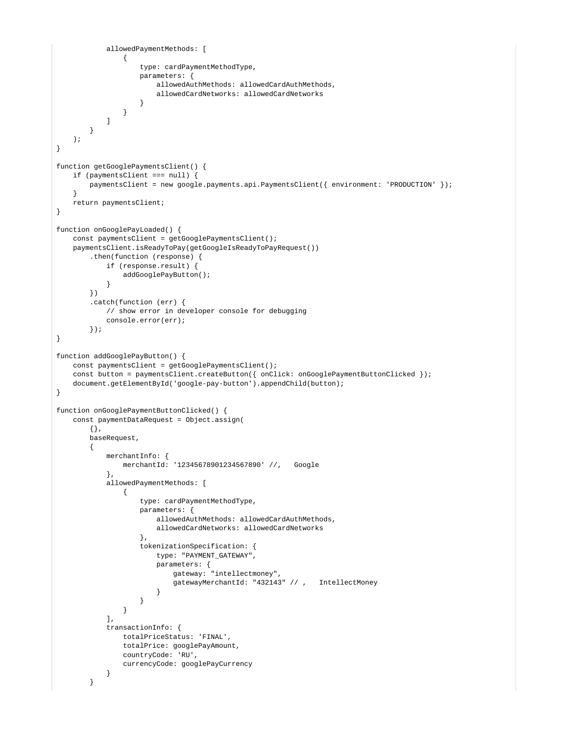```
 allowedPaymentMethods: [
\{ type: cardPaymentMethodType,
                    parameters: {
                        allowedAuthMethods: allowedCardAuthMethods,
                        allowedCardNetworks: allowedCardNetworks
 }
 }
           \overline{1} }
    );
}
function getGooglePaymentsClient() {
    if (paymentsClient === null) {
       paymentsClient = new google.payments.api.PaymentsClient({ environment: 'PRODUCTION' });
     }
    return paymentsClient;
}
function onGooglePayLoaded() {
    const paymentsClient = getGooglePaymentsClient();
    paymentsClient.isReadyToPay(getGoogleIsReadyToPayRequest())
        .then(function (response) {
            if (response.result) {
                addGooglePayButton();
 }
        })
        .catch(function (err) {
            // show error in developer console for debugging
            console.error(err);
        });
}
function addGooglePayButton() {
    const paymentsClient = getGooglePaymentsClient();
    const button = paymentsClient.createButton({ onClick: onGooglePaymentButtonClicked });
    document.getElementById('google-pay-button').appendChild(button);
}
function onGooglePaymentButtonClicked() {
    const paymentDataRequest = Object.assign(
        {},
        baseRequest,
        {
            merchantInfo: {
                merchantId: '12345678901234567890' //, Google
            },
            allowedPaymentMethods: [
\{ type: cardPaymentMethodType,
                    parameters: {
                        allowedAuthMethods: allowedCardAuthMethods,
                        allowedCardNetworks: allowedCardNetworks
, where \{ \} , we have the set of \{ \} ,
                    tokenizationSpecification: {
                        type: "PAYMENT_GATEWAY",
                        parameters: {
                           gateway: "intellectmoney",
                            gatewayMerchantId: "432143" // , IntellectMoney
 }
 }
 }
            ],
            transactionInfo: {
                totalPriceStatus: 'FINAL',
                totalPrice: googlePayAmount,
                countryCode: 'RU',
                currencyCode: googlePayCurrency
 }
        }
```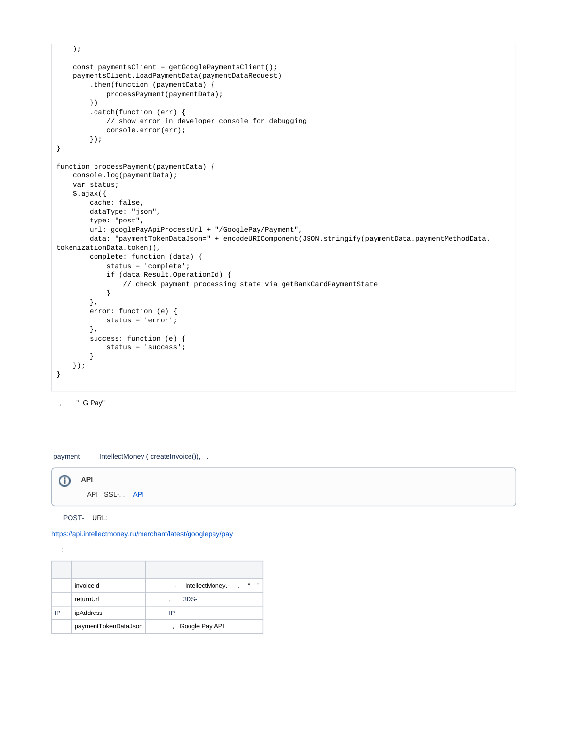```
 );
     const paymentsClient = getGooglePaymentsClient();
    paymentsClient.loadPaymentData(paymentDataRequest)
         .then(function (paymentData) {
            processPayment(paymentData);
         })
         .catch(function (err) {
             // show error in developer console for debugging
             console.error(err);
         });
}
function processPayment(paymentData) {
    console.log(paymentData);
     var status;
     $.ajax({
         cache: false,
         dataType: "json",
         type: "post",
         url: googlePayApiProcessUrl + "/GooglePay/Payment",
        data: "paymentTokenDataJson=" + encodeURIComponent(JSON.stringify(paymentData.paymentMethodData.
tokenizationData.token)),
         complete: function (data) {
             status = 'complete';
             if (data.Result.OperationId) {
                 // check payment processing state via getBankCardPaymentState
             }
         },
         error: function (e) {
            status = 'error';
         },
         success: function (e) {
             status = 'success';
         }
     });
}
```
, " G Pay"

payment IntellectMoney ( createInvoice()), .



POST- URL:

<https://api.intellectmoney.ru/merchant/latest/googlepay/pay>

:

|    | invoiceld            | $^{16}$<br>$\overline{\phantom{1}}$<br>IntellectMoney,<br>$\blacksquare$<br>$\ddot{\phantom{a}}$ |
|----|----------------------|--------------------------------------------------------------------------------------------------|
|    | returnUrl            | 3DS-<br>٠                                                                                        |
| IP | ipAddress            | IP                                                                                               |
|    | paymentTokenDataJson | Google Pay API                                                                                   |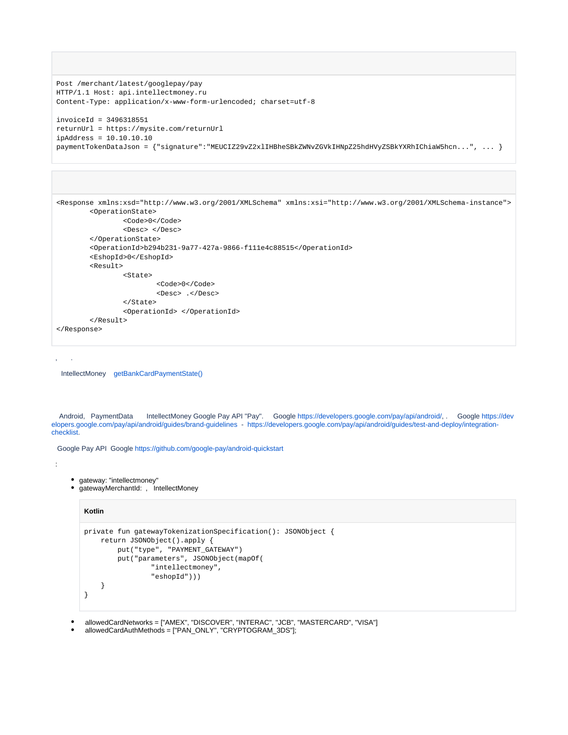```
Post /merchant/latest/googlepay/pay
HTTP/1.1 Host: api.intellectmoney.ru
Content-Type: application/x-www-form-urlencoded; charset=utf-8
invoiceId = 3496318551
returnUrl = https://mysite.com/returnUrl
ipAddress = 10.10.10.10
paymentTokenDataJson = {"signature":"MEUCIZ29vZ2xlIHBheSBkZWNvZGVkIHNpZ25hdHVyZSBkYXRhIChiaW5hcn...", ... }
```

```
<Response xmlns:xsd="http://www.w3.org/2001/XMLSchema" xmlns:xsi="http://www.w3.org/2001/XMLSchema-instance">
         <OperationState> 
                  <Code>0</Code> 
                  <Desc> </Desc> 
         </OperationState> 
         <OperationId>b294b231-9a77-427a-9866-f111e4c88515</OperationId> 
         <EshopId>0</EshopId> 
         <Result> 
                  <State> 
                          <Code>0</Code> 
                          <Desc> .</Desc> 
                  </State>
                  <OperationId> </OperationId>
         </Result>
</Response>
```
, .

:

IntellectMoney [getBankCardPaymentState\(\)](https://wiki.intellectmoney.ru/pages/viewpage.action?pageId=4849666#id-APImerchant2.0-GETBANKCARDPAYMENTSTATE-)

<span id="page-3-0"></span> Android, PaymentData IntellectMoney Google Pay API "Pay". Google <https://developers.google.com/pay/api/android/>, . Google [https://dev](https://developers.google.com/pay/api/android/guides/brand-guidelines) [elopers.google.com/pay/api/android/guides/brand-guidelines](https://developers.google.com/pay/api/android/guides/brand-guidelines) - [https://developers.google.com/pay/api/android/guides/test-and-deploy/integration](https://developers.google.com/pay/api/android/guides/test-and-deploy/integration-checklist)[checklist](https://developers.google.com/pay/api/android/guides/test-and-deploy/integration-checklist).

Google Pay API Google <https://github.com/google-pay/android-quickstart>

• gateway: "intellectmoney"

gatewayMerchantId: , IntellectMoney

#### **Kotlin**

```
private fun gatewayTokenizationSpecification(): JSONObject {
     return JSONObject().apply {
         put("type", "PAYMENT_GATEWAY")
         put("parameters", JSONObject(mapOf(
                 "intellectmoney",
                 "eshopId")))
     }
}
```
- allowedCardNetworks = ["AMEX", "DISCOVER", "INTERAC", "JCB", "MASTERCARD", "VISA"]
- allowedCardAuthMethods = ["PAN\_ONLY", "CRYPTOGRAM\_3DS"];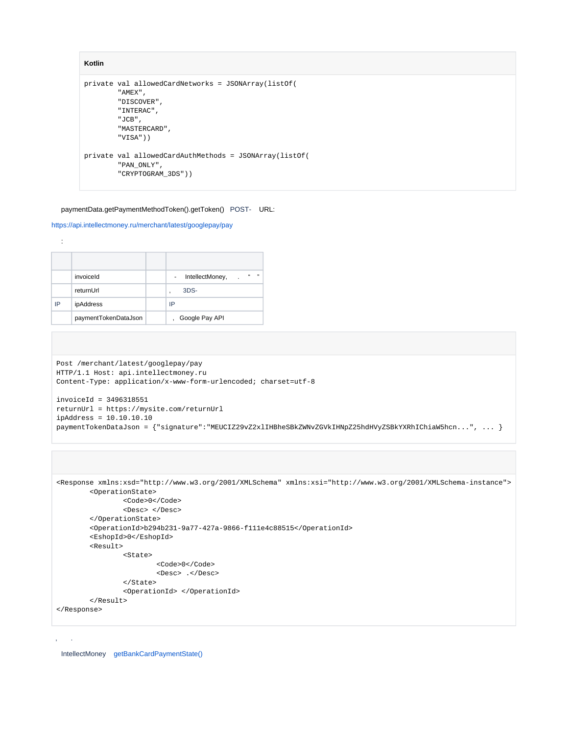```
Kotlin
private val allowedCardNetworks = JSONArray(listOf(
         "AMEX",
         "DISCOVER",
         "INTERAC",
         "JCB",
         "MASTERCARD",
         "VISA"))
private val allowedCardAuthMethods = JSONArray(listOf(
         "PAN_ONLY",
         "CRYPTOGRAM_3DS"))
```
#### paymentData.getPaymentMethodToken().getToken() POST- URL:

#### <https://api.intellectmoney.ru/merchant/latest/googlepay/pay>

|    | invoiceld            | $\mathfrak{c}\mathfrak{c}$<br>11<br>IntellectMoney,<br>$\sim$ |
|----|----------------------|---------------------------------------------------------------|
|    | returnUrl            | 3DS-<br>٠                                                     |
| IP | ipAddress            | IP                                                            |
|    | paymentTokenDataJson | Google Pay API                                                |

```
Post /merchant/latest/googlepay/pay
HTTP/1.1 Host: api.intellectmoney.ru
Content-Type: application/x-www-form-urlencoded; charset=utf-8
invoiceId = 3496318551
returnUrl = https://mysite.com/returnUrl
ipAddress = 10.10.10.10
paymentTokenDataJson = {"signature":"MEUCIZ29vZ2xlIHBheSBkZWNvZGVkIHNpZ25hdHVyZSBkYXRhIChiaW5hcn...", ... }
```

```
<Response xmlns:xsd="http://www.w3.org/2001/XMLSchema" xmlns:xsi="http://www.w3.org/2001/XMLSchema-instance">
         <OperationState> 
                 <Code>0</Code> 
                 <Desc> </Desc> 
         </OperationState> 
         <OperationId>b294b231-9a77-427a-9866-f111e4c88515</OperationId> 
         <EshopId>0</EshopId> 
         <Result> 
                  <State> 
                          <Code>0</Code> 
                          <Desc> .</Desc> 
                  </State>
                 <OperationId> </OperationId>
         </Result>
</Response>
```
IntellectMoney [getBankCardPaymentState\(\)](https://wiki.intellectmoney.ru/pages/viewpage.action?pageId=4849666#id-APImerchant2.0-GETBANKCARDPAYMENTSTATE-)

```
⊕
```
, .